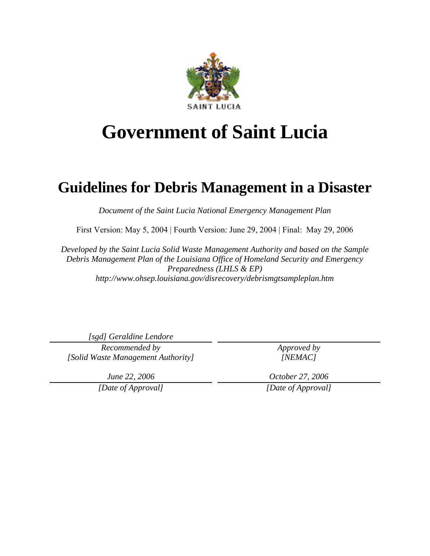

# **Government of Saint Lucia**

# **Guidelines for Debris Management in a Disaster**

*Document of the Saint Lucia National Emergency Management Plan* 

First Version: May 5, 2004 | Fourth Version: June 29, 2004 | Final: May 29, 2006

*Developed by the Saint Lucia Solid Waste Management Authority and based on the Sample Debris Management Plan of the Louisiana Office of Homeland Security and Emergency Preparedness (LHLS & EP) http://www.ohsep.louisiana.gov/disrecovery/debrismgtsampleplan.htm* 

*[sgd] Geraldine Lendore* 

*Recommended by [Solid Waste Management Authority]*  *Approved by [NEMAC]* 

*June 22, 2006* 

*[Date of Approval]* 

*October 27, 2006 [Date of Approval]*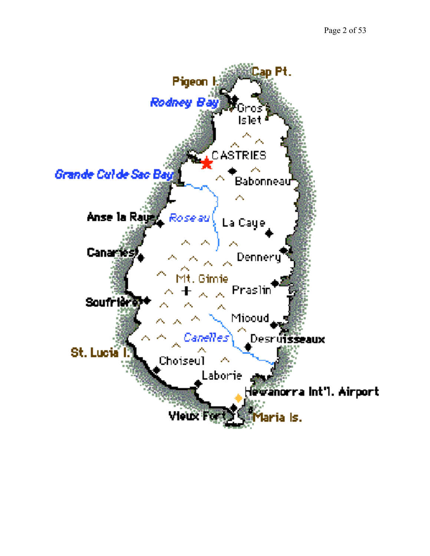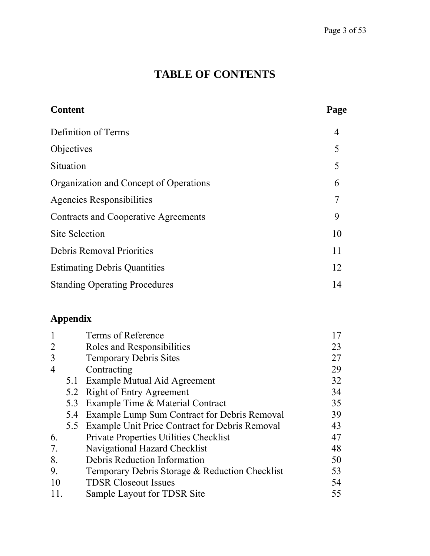# **TABLE OF CONTENTS**

| <b>Content</b>                         | Page           |
|----------------------------------------|----------------|
| Definition of Terms                    | $\overline{4}$ |
| Objectives                             | 5              |
| Situation                              | 5              |
| Organization and Concept of Operations | 6              |
| <b>Agencies Responsibilities</b>       | 7              |
| Contracts and Cooperative Agreements   | 9              |
| <b>Site Selection</b>                  | 10             |
| <b>Debris Removal Priorities</b>       | 11             |
| <b>Estimating Debris Quantities</b>    | 12             |
| <b>Standing Operating Procedures</b>   | 14             |

# **Appendix**

|                |     | Terms of Reference                             |    |
|----------------|-----|------------------------------------------------|----|
| 2              |     | Roles and Responsibilities                     | 23 |
| 3              |     | <b>Temporary Debris Sites</b>                  | 27 |
| $\overline{4}$ |     | Contracting                                    | 29 |
|                | 5.1 | Example Mutual Aid Agreement                   | 32 |
|                | 5.2 | <b>Right of Entry Agreement</b>                | 34 |
|                | 5.3 | Example Time & Material Contract               | 35 |
|                | 5.4 | Example Lump Sum Contract for Debris Removal   | 39 |
|                | 5.5 | Example Unit Price Contract for Debris Removal | 43 |
| 6.             |     | Private Properties Utilities Checklist         | 47 |
| 7.             |     | Navigational Hazard Checklist                  | 48 |
| 8.             |     | Debris Reduction Information                   | 50 |
| 9.             |     | Temporary Debris Storage & Reduction Checklist | 53 |
| 10             |     | <b>TDSR Closeout Issues</b>                    | 54 |
|                |     | Sample Layout for TDSR Site                    | 55 |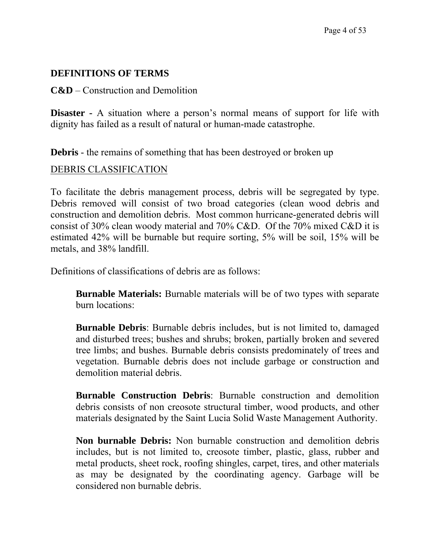#### **DEFINITIONS OF TERMS**

**C&D** – Construction and Demolition

**Disaster** - A situation where a person's normal means of support for life with dignity has failed as a result of natural or human-made catastrophe.

**Debris** - the remains of something that has been destroyed or broken up

#### DEBRIS CLASSIFICATION

To facilitate the debris management process, debris will be segregated by type. Debris removed will consist of two broad categories (clean wood debris and construction and demolition debris. Most common hurricane-generated debris will consist of 30% clean woody material and 70% C&D. Of the 70% mixed C&D it is estimated 42% will be burnable but require sorting, 5% will be soil, 15% will be metals, and 38% landfill.

Definitions of classifications of debris are as follows:

**Burnable Materials:** Burnable materials will be of two types with separate burn locations:

**Burnable Debris**: Burnable debris includes, but is not limited to, damaged and disturbed trees; bushes and shrubs; broken, partially broken and severed tree limbs; and bushes. Burnable debris consists predominately of trees and vegetation. Burnable debris does not include garbage or construction and demolition material debris.

**Burnable Construction Debris**: Burnable construction and demolition debris consists of non creosote structural timber, wood products, and other materials designated by the Saint Lucia Solid Waste Management Authority.

**Non burnable Debris:** Non burnable construction and demolition debris includes, but is not limited to, creosote timber, plastic, glass, rubber and metal products, sheet rock, roofing shingles, carpet, tires, and other materials as may be designated by the coordinating agency. Garbage will be considered non burnable debris.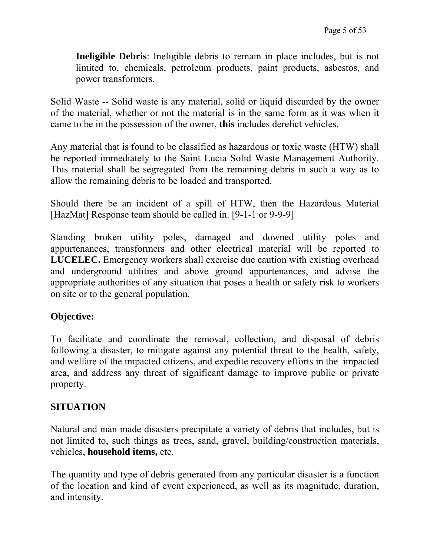**Ineligible Debris**: Ineligible debris to remain in place includes, but is not limited to, chemicals, petroleum products, paint products, asbestos, and power transformers.

Solid Waste -- Solid waste is any material, solid or liquid discarded by the owner of the material, whether or not the material is in the same form as it was when it came to be in the possession of the owner, **this** includes derelict vehicles.

Any material that is found to be classified as hazardous or toxic waste (HTW) shall be reported immediately to the Saint Lucia Solid Waste Management Authority. This material shall be segregated from the remaining debris in such a way as to allow the remaining debris to be loaded and transported.

Should there be an incident of a spill of HTW, then the Hazardous Material [HazMat] Response team should be called in. [9-1-1 or 9-9-9]

Standing broken utility poles, damaged and downed utility poles and appurtenances, transformers and other electrical material will be reported to **LUCELEC.** Emergency workers shall exercise due caution with existing overhead and underground utilities and above ground appurtenances, and advise the appropriate authorities of any situation that poses a health or safety risk to workers on site or to the general population.

#### **Objective:**

To facilitate and coordinate the removal, collection, and disposal of debris following a disaster, to mitigate against any potential threat to the health, safety, and welfare of the impacted citizens, and expedite recovery efforts in the impacted area, and address any threat of significant damage to improve public or private property.

#### **SITUATION**

Natural and man made disasters precipitate a variety of debris that includes, but is not limited to, such things as trees, sand, gravel, building/construction materials, vehicles, **household items,** etc.

The quantity and type of debris generated from any particular disaster is a function of the location and kind of event experienced, as well as its magnitude, duration, and intensity.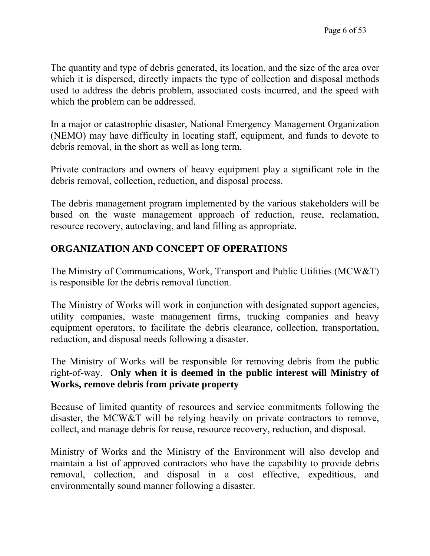The quantity and type of debris generated, its location, and the size of the area over which it is dispersed, directly impacts the type of collection and disposal methods used to address the debris problem, associated costs incurred, and the speed with which the problem can be addressed.

In a major or catastrophic disaster, National Emergency Management Organization (NEMO) may have difficulty in locating staff, equipment, and funds to devote to debris removal, in the short as well as long term.

Private contractors and owners of heavy equipment play a significant role in the debris removal, collection, reduction, and disposal process.

The debris management program implemented by the various stakeholders will be based on the waste management approach of reduction, reuse, reclamation, resource recovery, autoclaving, and land filling as appropriate.

#### **ORGANIZATION AND CONCEPT OF OPERATIONS**

The Ministry of Communications, Work, Transport and Public Utilities (MCW&T) is responsible for the debris removal function.

The Ministry of Works will work in conjunction with designated support agencies, utility companies, waste management firms, trucking companies and heavy equipment operators, to facilitate the debris clearance, collection, transportation, reduction, and disposal needs following a disaster.

The Ministry of Works will be responsible for removing debris from the public right-of-way. **Only when it is deemed in the public interest will Ministry of Works, remove debris from private property**

Because of limited quantity of resources and service commitments following the disaster, the MCW&T will be relying heavily on private contractors to remove, collect, and manage debris for reuse, resource recovery, reduction, and disposal.

Ministry of Works and the Ministry of the Environment will also develop and maintain a list of approved contractors who have the capability to provide debris removal, collection, and disposal in a cost effective, expeditious, and environmentally sound manner following a disaster.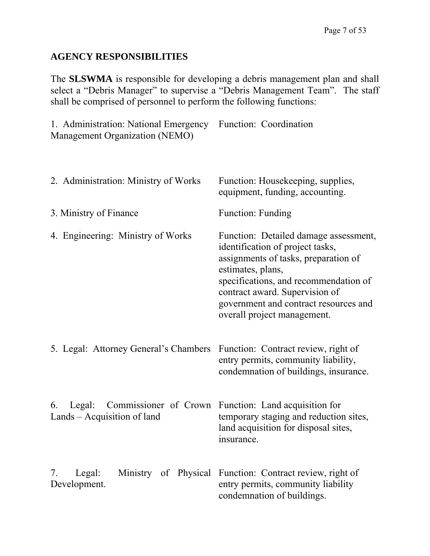#### **AGENCY RESPONSIBILITIES**

The **SLSWMA** is responsible for developing a debris management plan and shall select a "Debris Manager" to supervise a "Debris Management Team". The staff shall be comprised of personnel to perform the following functions:

1. Administration: National Emergency Function: Coordination Management Organization (NEMO)

| 2. Administration: Ministry of Works                                      | Function: Housekeeping, supplies,<br>equipment, funding, accounting.                                                                                                                                                                                                                      |
|---------------------------------------------------------------------------|-------------------------------------------------------------------------------------------------------------------------------------------------------------------------------------------------------------------------------------------------------------------------------------------|
| 3. Ministry of Finance                                                    | <b>Function: Funding</b>                                                                                                                                                                                                                                                                  |
| 4. Engineering: Ministry of Works                                         | Function: Detailed damage assessment,<br>identification of project tasks,<br>assignments of tasks, preparation of<br>estimates, plans,<br>specifications, and recommendation of<br>contract award. Supervision of<br>government and contract resources and<br>overall project management. |
| 5. Legal: Attorney General's Chambers Function: Contract review, right of | entry permits, community liability,<br>condemnation of buildings, insurance.                                                                                                                                                                                                              |
| 6.<br>Commissioner of Crown<br>Legal:<br>Lands – Acquisition of land      | Function: Land acquisition for<br>temporary staging and reduction sites,<br>land acquisition for disposal sites,<br>insurance.                                                                                                                                                            |
| Legal:<br>7.<br>Development.                                              | Ministry of Physical Function: Contract review, right of<br>entry permits, community liability<br>condemnation of buildings.                                                                                                                                                              |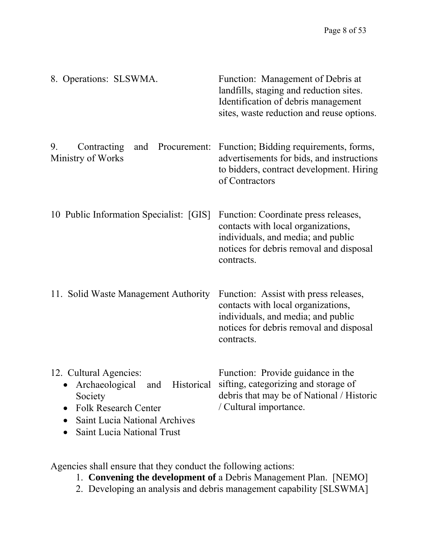| 8. Operations: SLSWMA.                                                                                                                                                                                              | Function: Management of Debris at<br>landfills, staging and reduction sites.<br>Identification of debris management<br>sites, waste reduction and reuse options.           |
|---------------------------------------------------------------------------------------------------------------------------------------------------------------------------------------------------------------------|----------------------------------------------------------------------------------------------------------------------------------------------------------------------------|
| 9.<br>Contracting<br>Procurement:<br>and<br>Ministry of Works                                                                                                                                                       | Function; Bidding requirements, forms,<br>advertisements for bids, and instructions<br>to bidders, contract development. Hiring<br>of Contractors                          |
| 10 Public Information Specialist: [GIS]                                                                                                                                                                             | Function: Coordinate press releases,<br>contacts with local organizations,<br>individuals, and media; and public<br>notices for debris removal and disposal<br>contracts.  |
| 11. Solid Waste Management Authority                                                                                                                                                                                | Function: Assist with press releases,<br>contacts with local organizations,<br>individuals, and media; and public<br>notices for debris removal and disposal<br>contracts. |
| 12. Cultural Agencies:<br>Archaeological and Historical sifting, categorizing and storage of<br>Society<br><b>Folk Research Center</b><br><b>Saint Lucia National Archives</b><br><b>Saint Lucia National Trust</b> | Function: Provide guidance in the<br>debris that may be of National / Historic<br>/ Cultural importance.                                                                   |

Agencies shall ensure that they conduct the following actions:

- 1. **Convening the development of** a Debris Management Plan. [NEMO]
- 2. Developing an analysis and debris management capability [SLSWMA]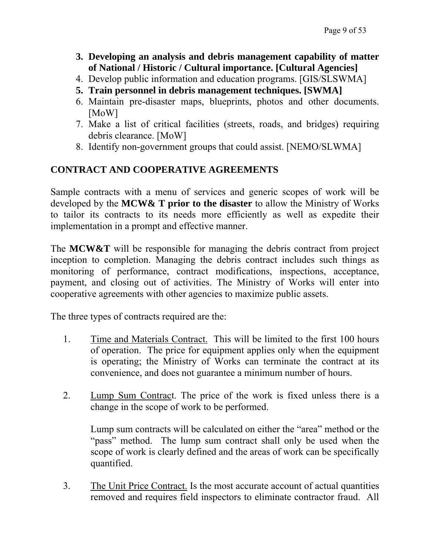- **3. Developing an analysis and debris management capability of matter of National / Historic / Cultural importance. [Cultural Agencies]**
- 4. Develop public information and education programs. [GIS/SLSWMA]
- **5. Train personnel in debris management techniques. [SWMA]**
- 6. Maintain pre-disaster maps, blueprints, photos and other documents. [MoW]
- 7. Make a list of critical facilities (streets, roads, and bridges) requiring debris clearance. [MoW]
- 8. Identify non-government groups that could assist. [NEMO/SLWMA]

### **CONTRACT AND COOPERATIVE AGREEMENTS**

Sample contracts with a menu of services and generic scopes of work will be developed by the **MCW& T prior to the disaster** to allow the Ministry of Works to tailor its contracts to its needs more efficiently as well as expedite their implementation in a prompt and effective manner.

The **MCW&T** will be responsible for managing the debris contract from project inception to completion. Managing the debris contract includes such things as monitoring of performance, contract modifications, inspections, acceptance, payment, and closing out of activities. The Ministry of Works will enter into cooperative agreements with other agencies to maximize public assets.

The three types of contracts required are the:

- 1. Time and Materials Contract. This will be limited to the first 100 hours of operation. The price for equipment applies only when the equipment is operating; the Ministry of Works can terminate the contract at its convenience, and does not guarantee a minimum number of hours.
- 2. Lump Sum Contract. The price of the work is fixed unless there is a change in the scope of work to be performed.

Lump sum contracts will be calculated on either the "area" method or the "pass" method. The lump sum contract shall only be used when the scope of work is clearly defined and the areas of work can be specifically quantified.

3. The Unit Price Contract. Is the most accurate account of actual quantities removed and requires field inspectors to eliminate contractor fraud. All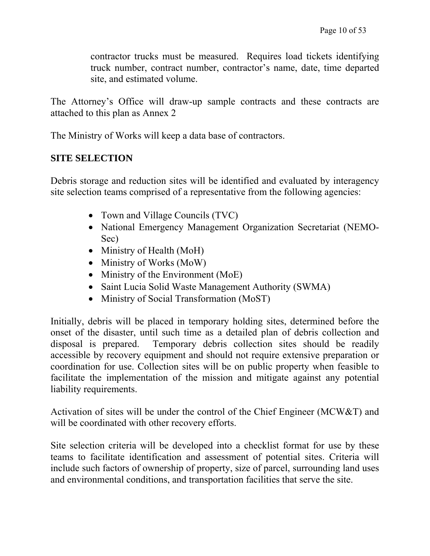contractor trucks must be measured. Requires load tickets identifying truck number, contract number, contractor's name, date, time departed site, and estimated volume.

The Attorney's Office will draw-up sample contracts and these contracts are attached to this plan as Annex 2

The Ministry of Works will keep a data base of contractors.

#### **SITE SELECTION**

Debris storage and reduction sites will be identified and evaluated by interagency site selection teams comprised of a representative from the following agencies:

- Town and Village Councils (TVC)
- National Emergency Management Organization Secretariat (NEMO-Sec)
- Ministry of Health (MoH)
- Ministry of Works (MoW)
- Ministry of the Environment (MoE)
- Saint Lucia Solid Waste Management Authority (SWMA)
- Ministry of Social Transformation (MoST)

Initially, debris will be placed in temporary holding sites, determined before the onset of the disaster, until such time as a detailed plan of debris collection and disposal is prepared. Temporary debris collection sites should be readily accessible by recovery equipment and should not require extensive preparation or coordination for use. Collection sites will be on public property when feasible to facilitate the implementation of the mission and mitigate against any potential liability requirements.

Activation of sites will be under the control of the Chief Engineer (MCW&T) and will be coordinated with other recovery efforts.

Site selection criteria will be developed into a checklist format for use by these teams to facilitate identification and assessment of potential sites. Criteria will include such factors of ownership of property, size of parcel, surrounding land uses and environmental conditions, and transportation facilities that serve the site.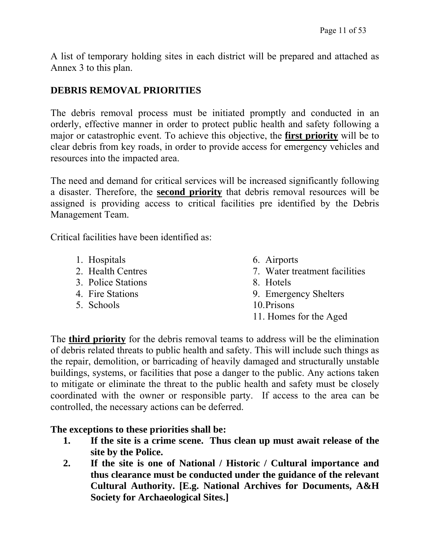A list of temporary holding sites in each district will be prepared and attached as Annex 3 to this plan.

### **DEBRIS REMOVAL PRIORITIES**

The debris removal process must be initiated promptly and conducted in an orderly, effective manner in order to protect public health and safety following a major or catastrophic event. To achieve this objective, the **first priority** will be to clear debris from key roads, in order to provide access for emergency vehicles and resources into the impacted area.

The need and demand for critical services will be increased significantly following a disaster. Therefore, the **second priority** that debris removal resources will be assigned is providing access to critical facilities pre identified by the Debris Management Team.

Critical facilities have been identified as:

- 1. Hospitals
- 2. Health Centres
- 3. Police Stations
- 4. Fire Stations
- 5. Schools
- 6. Airports
- 7. Water treatment facilities
- 8. Hotels
- 9. Emergency Shelters
- 10.Prisons
- 11. Homes for the Aged

The **third priority** for the debris removal teams to address will be the elimination of debris related threats to public health and safety. This will include such things as the repair, demolition, or barricading of heavily damaged and structurally unstable buildings, systems, or facilities that pose a danger to the public. Any actions taken to mitigate or eliminate the threat to the public health and safety must be closely coordinated with the owner or responsible party. If access to the area can be controlled, the necessary actions can be deferred.

#### **The exceptions to these priorities shall be:**

- **1. If the site is a crime scene. Thus clean up must await release of the site by the Police.**
- **2. If the site is one of National / Historic / Cultural importance and thus clearance must be conducted under the guidance of the relevant Cultural Authority. [E.g. National Archives for Documents, A&H Society for Archaeological Sites.]**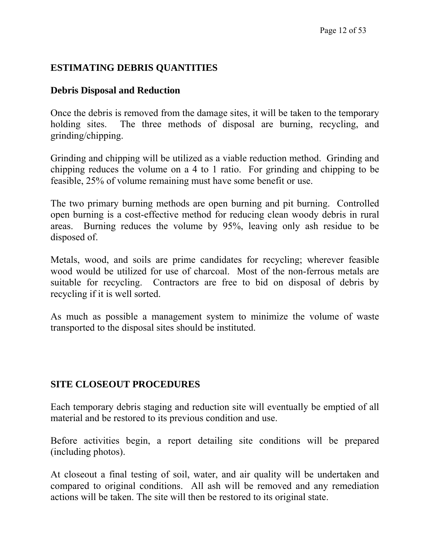#### **ESTIMATING DEBRIS QUANTITIES**

#### **Debris Disposal and Reduction**

Once the debris is removed from the damage sites, it will be taken to the temporary holding sites. The three methods of disposal are burning, recycling, and grinding/chipping.

Grinding and chipping will be utilized as a viable reduction method. Grinding and chipping reduces the volume on a 4 to 1 ratio. For grinding and chipping to be feasible, 25% of volume remaining must have some benefit or use.

The two primary burning methods are open burning and pit burning. Controlled open burning is a cost-effective method for reducing clean woody debris in rural areas. Burning reduces the volume by 95%, leaving only ash residue to be disposed of.

Metals, wood, and soils are prime candidates for recycling; wherever feasible wood would be utilized for use of charcoal. Most of the non-ferrous metals are suitable for recycling. Contractors are free to bid on disposal of debris by recycling if it is well sorted.

As much as possible a management system to minimize the volume of waste transported to the disposal sites should be instituted.

#### **SITE CLOSEOUT PROCEDURES**

Each temporary debris staging and reduction site will eventually be emptied of all material and be restored to its previous condition and use.

Before activities begin, a report detailing site conditions will be prepared (including photos).

At closeout a final testing of soil, water, and air quality will be undertaken and compared to original conditions. All ash will be removed and any remediation actions will be taken. The site will then be restored to its original state.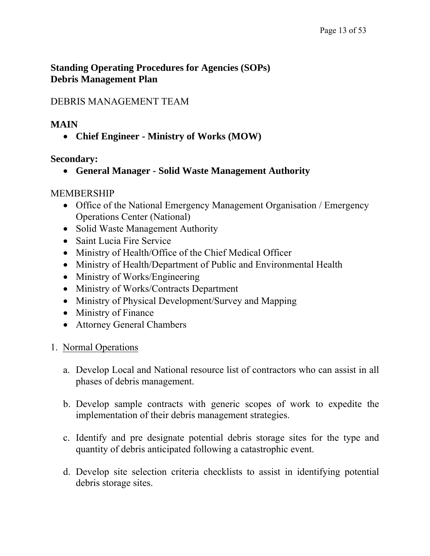#### **Standing Operating Procedures for Agencies (SOPs) Debris Management Plan**

### DEBRIS MANAGEMENT TEAM

#### **MAIN**

• **Chief Engineer - Ministry of Works (MOW)** 

### **Secondary:**

• **General Manager - Solid Waste Management Authority** 

### MEMBERSHIP

- Office of the National Emergency Management Organisation / Emergency Operations Center (National)
- Solid Waste Management Authority
- Saint Lucia Fire Service
- Ministry of Health/Office of the Chief Medical Officer
- Ministry of Health/Department of Public and Environmental Health
- Ministry of Works/Engineering
- Ministry of Works/Contracts Department
- Ministry of Physical Development/Survey and Mapping
- Ministry of Finance
- Attorney General Chambers
- 1. Normal Operations
	- a. Develop Local and National resource list of contractors who can assist in all phases of debris management.
	- b. Develop sample contracts with generic scopes of work to expedite the implementation of their debris management strategies.
	- c. Identify and pre designate potential debris storage sites for the type and quantity of debris anticipated following a catastrophic event.
	- d. Develop site selection criteria checklists to assist in identifying potential debris storage sites.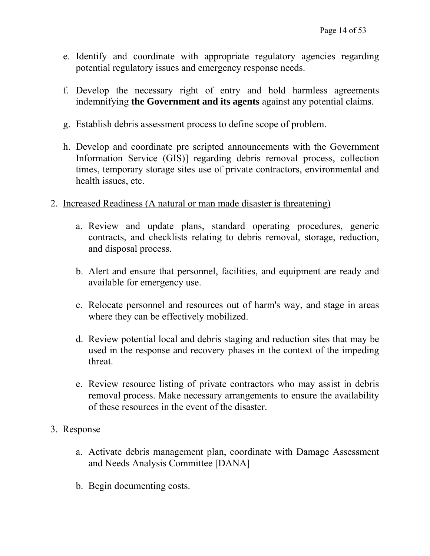- e. Identify and coordinate with appropriate regulatory agencies regarding potential regulatory issues and emergency response needs.
- f. Develop the necessary right of entry and hold harmless agreements indemnifying **the Government and its agents** against any potential claims.
- g. Establish debris assessment process to define scope of problem.
- h. Develop and coordinate pre scripted announcements with the Government Information Service (GIS)] regarding debris removal process, collection times, temporary storage sites use of private contractors, environmental and health issues, etc.
- 2. Increased Readiness (A natural or man made disaster is threatening)
	- a. Review and update plans, standard operating procedures, generic contracts, and checklists relating to debris removal, storage, reduction, and disposal process.
	- b. Alert and ensure that personnel, facilities, and equipment are ready and available for emergency use.
	- c. Relocate personnel and resources out of harm's way, and stage in areas where they can be effectively mobilized.
	- d. Review potential local and debris staging and reduction sites that may be used in the response and recovery phases in the context of the impeding threat.
	- e. Review resource listing of private contractors who may assist in debris removal process. Make necessary arrangements to ensure the availability of these resources in the event of the disaster.
- 3. Response
	- a. Activate debris management plan, coordinate with Damage Assessment and Needs Analysis Committee [DANA]
	- b. Begin documenting costs.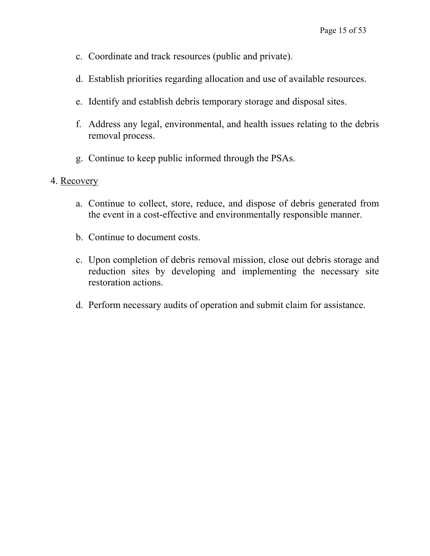- c. Coordinate and track resources (public and private).
- d. Establish priorities regarding allocation and use of available resources.
- e. Identify and establish debris temporary storage and disposal sites.
- f. Address any legal, environmental, and health issues relating to the debris removal process.
- g. Continue to keep public informed through the PSAs.

#### 4. Recovery

- a. Continue to collect, store, reduce, and dispose of debris generated from the event in a cost-effective and environmentally responsible manner.
- b. Continue to document costs.
- c. Upon completion of debris removal mission, close out debris storage and reduction sites by developing and implementing the necessary site restoration actions.
- d. Perform necessary audits of operation and submit claim for assistance.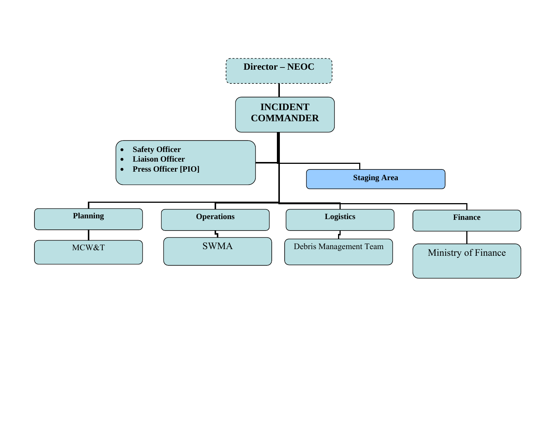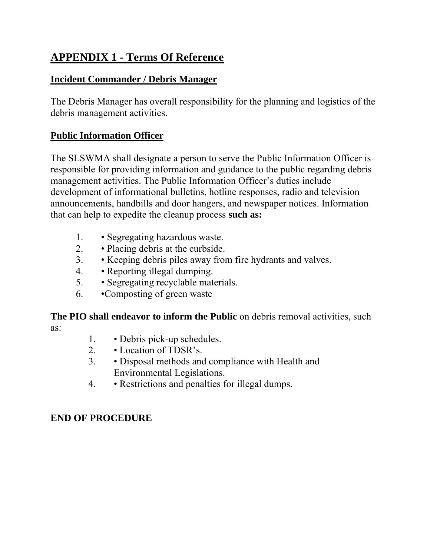# **APPENDIX 1 - Terms Of Reference**

### **Incident Commander / Debris Manager**

The Debris Manager has overall responsibility for the planning and logistics of the debris management activities.

### **Public Information Officer**

The SLSWMA shall designate a person to serve the Public Information Officer is responsible for providing information and guidance to the public regarding debris management activities. The Public Information Officer's duties include development of informational bulletins, hotline responses, radio and television announcements, handbills and door hangers, and newspaper notices. Information that can help to expedite the cleanup process **such as:**

- 1. Segregating hazardous waste.
- 2. Placing debris at the curbside.
- 3. Keeping debris piles away from fire hydrants and valves.
- 4. Reporting illegal dumping.
- 5. Segregating recyclable materials.
- 6. •Composting of green waste

**The PIO shall endeavor to inform the Public** on debris removal activities, such as:

- 1. Debris pick-up schedules.
- 2. Location of TDSR's.
- 3. Disposal methods and compliance with Health and Environmental Legislations.
- 4. Restrictions and penalties for illegal dumps.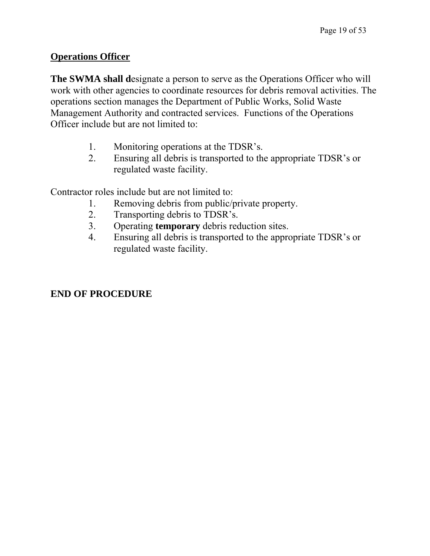#### **Operations Officer**

**The SWMA shall d**esignate a person to serve as the Operations Officer who will work with other agencies to coordinate resources for debris removal activities. The operations section manages the Department of Public Works, Solid Waste Management Authority and contracted services. Functions of the Operations Officer include but are not limited to:

- 1. Monitoring operations at the TDSR's.
- 2. Ensuring all debris is transported to the appropriate TDSR's or regulated waste facility.

Contractor roles include but are not limited to:

- 1. Removing debris from public/private property.
- 2. Transporting debris to TDSR's.
- 3. Operating **temporary** debris reduction sites.
- 4. Ensuring all debris is transported to the appropriate TDSR's or regulated waste facility.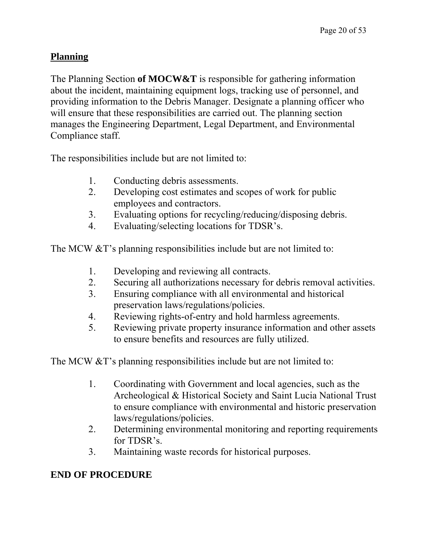#### **Planning**

The Planning Section **of MOCW&T** is responsible for gathering information about the incident, maintaining equipment logs, tracking use of personnel, and providing information to the Debris Manager. Designate a planning officer who will ensure that these responsibilities are carried out. The planning section manages the Engineering Department, Legal Department, and Environmental Compliance staff.

The responsibilities include but are not limited to:

- 1. Conducting debris assessments.
- 2. Developing cost estimates and scopes of work for public employees and contractors.
- 3. Evaluating options for recycling/reducing/disposing debris.
- 4. Evaluating/selecting locations for TDSR's.

The MCW &T's planning responsibilities include but are not limited to:

- 1. Developing and reviewing all contracts.
- 2. Securing all authorizations necessary for debris removal activities.
- 3. Ensuring compliance with all environmental and historical preservation laws/regulations/policies.
- 4. Reviewing rights-of-entry and hold harmless agreements.
- 5. Reviewing private property insurance information and other assets to ensure benefits and resources are fully utilized.

The MCW &T's planning responsibilities include but are not limited to:

- 1. Coordinating with Government and local agencies, such as the Archeological & Historical Society and Saint Lucia National Trust to ensure compliance with environmental and historic preservation laws/regulations/policies.
- 2. Determining environmental monitoring and reporting requirements for TDSR's.
- 3. Maintaining waste records for historical purposes.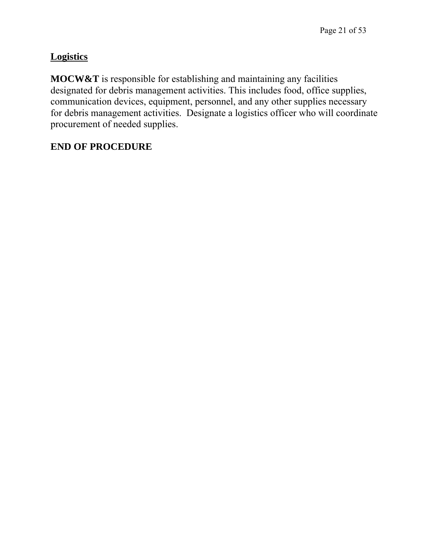### **Logistics**

**MOCW&T** is responsible for establishing and maintaining any facilities designated for debris management activities. This includes food, office supplies, communication devices, equipment, personnel, and any other supplies necessary for debris management activities. Designate a logistics officer who will coordinate procurement of needed supplies.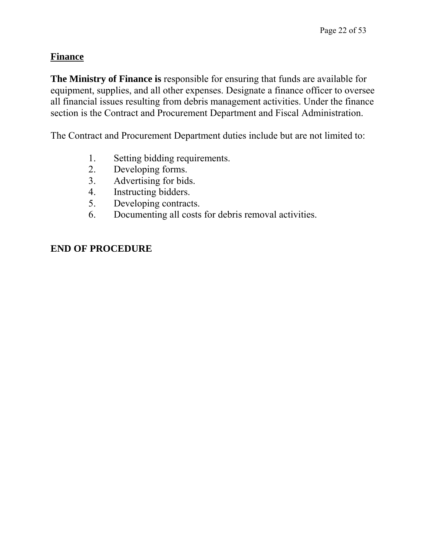#### **Finance**

**The Ministry of Finance is** responsible for ensuring that funds are available for equipment, supplies, and all other expenses. Designate a finance officer to oversee all financial issues resulting from debris management activities. Under the finance section is the Contract and Procurement Department and Fiscal Administration.

The Contract and Procurement Department duties include but are not limited to:

- 1. Setting bidding requirements.
- 2. Developing forms.
- 3. Advertising for bids.
- 4. Instructing bidders.
- 5. Developing contracts.
- 6. Documenting all costs for debris removal activities.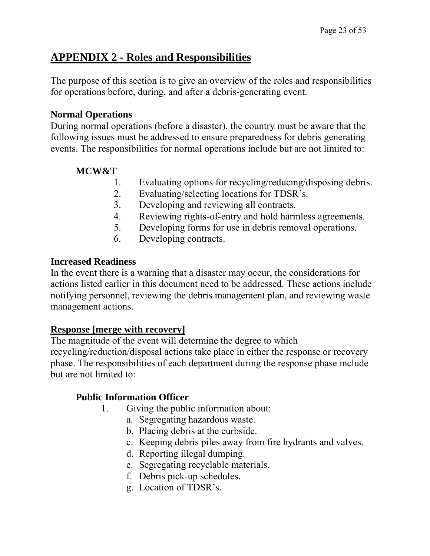### **APPENDIX 2 - Roles and Responsibilities**

The purpose of this section is to give an overview of the roles and responsibilities for operations before, during, and after a debris-generating event.

#### **Normal Operations**

During normal operations (before a disaster), the country must be aware that the following issues must be addressed to ensure preparedness for debris generating events. The responsibilities for normal operations include but are not limited to:

### **MCW&T**

- 1. Evaluating options for recycling/reducing/disposing debris.
- 2. Evaluating/selecting locations for TDSR's.
- 3. Developing and reviewing all contracts.
- 4. Reviewing rights-of-entry and hold harmless agreements.
- 5. Developing forms for use in debris removal operations.
- 6. Developing contracts.

#### **Increased Readiness**

In the event there is a warning that a disaster may occur, the considerations for actions listed earlier in this document need to be addressed. These actions include notifying personnel, reviewing the debris management plan, and reviewing waste management actions.

#### **Response [merge with recovery]**

The magnitude of the event will determine the degree to which recycling/reduction/disposal actions take place in either the response or recovery phase. The responsibilities of each department during the response phase include but are not limited to:

#### **Public Information Officer**

- 1. Giving the public information about:
	- a. Segregating hazardous waste.
	- b. Placing debris at the curbside.
	- c. Keeping debris piles away from fire hydrants and valves.
	- d. Reporting illegal dumping.
	- e. Segregating recyclable materials.
	- f. Debris pick-up schedules.
	- g. Location of TDSR's.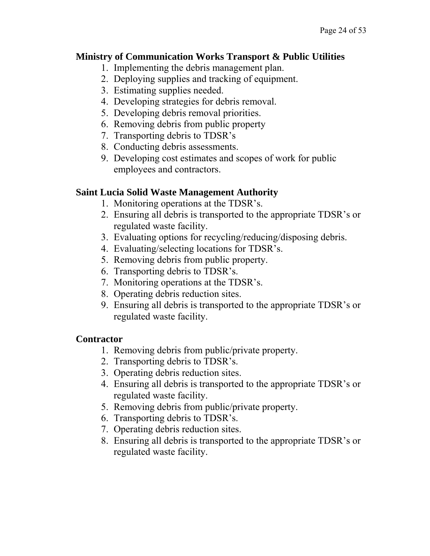#### **Ministry of Communication Works Transport & Public Utilities**

- 1. Implementing the debris management plan.
- 2. Deploying supplies and tracking of equipment.
- 3. Estimating supplies needed.
- 4. Developing strategies for debris removal.
- 5. Developing debris removal priorities.
- 6. Removing debris from public property
- 7. Transporting debris to TDSR's
- 8. Conducting debris assessments.
- 9. Developing cost estimates and scopes of work for public employees and contractors.

#### **Saint Lucia Solid Waste Management Authority**

- 1. Monitoring operations at the TDSR's.
- 2. Ensuring all debris is transported to the appropriate TDSR's or regulated waste facility.
- 3. Evaluating options for recycling/reducing/disposing debris.
- 4. Evaluating/selecting locations for TDSR's.
- 5. Removing debris from public property.
- 6. Transporting debris to TDSR's.
- 7. Monitoring operations at the TDSR's.
- 8. Operating debris reduction sites.
- 9. Ensuring all debris is transported to the appropriate TDSR's or regulated waste facility.

#### **Contractor**

- 1. Removing debris from public/private property.
- 2. Transporting debris to TDSR's.
- 3. Operating debris reduction sites.
- 4. Ensuring all debris is transported to the appropriate TDSR's or regulated waste facility.
- 5. Removing debris from public/private property.
- 6. Transporting debris to TDSR's.
- 7. Operating debris reduction sites.
- 8. Ensuring all debris is transported to the appropriate TDSR's or regulated waste facility.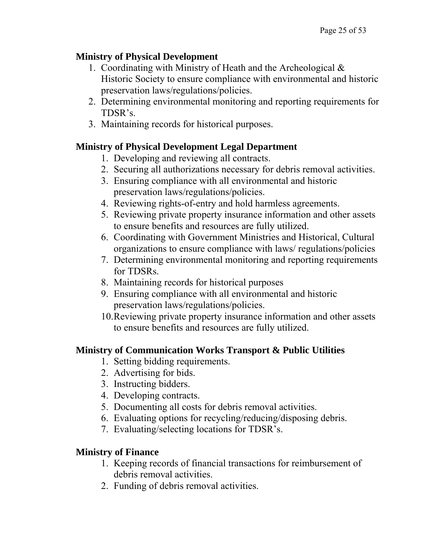### **Ministry of Physical Development**

- 1. Coordinating with Ministry of Heath and the Archeological & Historic Society to ensure compliance with environmental and historic preservation laws/regulations/policies.
- 2. Determining environmental monitoring and reporting requirements for TDSR's.
- 3. Maintaining records for historical purposes.

### **Ministry of Physical Development Legal Department**

- 1. Developing and reviewing all contracts.
- 2. Securing all authorizations necessary for debris removal activities.
- 3. Ensuring compliance with all environmental and historic preservation laws/regulations/policies.
- 4. Reviewing rights-of-entry and hold harmless agreements.
- 5. Reviewing private property insurance information and other assets to ensure benefits and resources are fully utilized.
- 6. Coordinating with Government Ministries and Historical, Cultural organizations to ensure compliance with laws/ regulations/policies
- 7. Determining environmental monitoring and reporting requirements for TDSRs.
- 8. Maintaining records for historical purposes
- 9. Ensuring compliance with all environmental and historic preservation laws/regulations/policies.
- 10.Reviewing private property insurance information and other assets to ensure benefits and resources are fully utilized.

### **Ministry of Communication Works Transport & Public Utilities**

- 1. Setting bidding requirements.
- 2. Advertising for bids.
- 3. Instructing bidders.
- 4. Developing contracts.
- 5. Documenting all costs for debris removal activities.
- 6. Evaluating options for recycling/reducing/disposing debris.
- 7. Evaluating/selecting locations for TDSR's.

### **Ministry of Finance**

- 1. Keeping records of financial transactions for reimbursement of debris removal activities.
- 2. Funding of debris removal activities.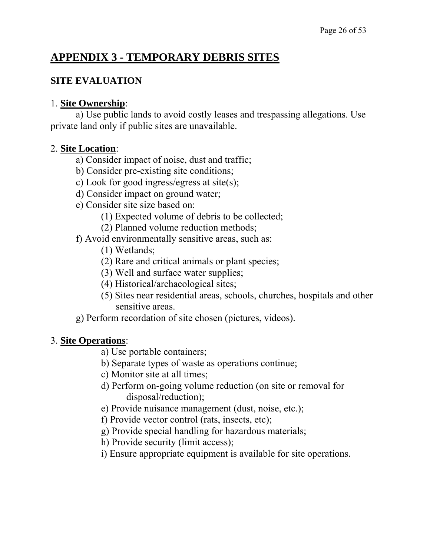### **APPENDIX 3 - TEMPORARY DEBRIS SITES**

#### **SITE EVALUATION**

#### 1. **Site Ownership**:

 a) Use public lands to avoid costly leases and trespassing allegations. Use private land only if public sites are unavailable.

#### 2. **Site Location**:

- a) Consider impact of noise, dust and traffic;
- b) Consider pre-existing site conditions;
- c) Look for good ingress/egress at site(s);
- d) Consider impact on ground water;
- e) Consider site size based on:
	- (1) Expected volume of debris to be collected;
	- (2) Planned volume reduction methods;
- f) Avoid environmentally sensitive areas, such as:
	- (1) Wetlands;
	- (2) Rare and critical animals or plant species;
	- (3) Well and surface water supplies;
	- (4) Historical/archaeological sites;
	- (5) Sites near residential areas, schools, churches, hospitals and other sensitive areas.
- g) Perform recordation of site chosen (pictures, videos).

#### 3. **Site Operations**:

- a) Use portable containers;
- b) Separate types of waste as operations continue;
- c) Monitor site at all times;
- d) Perform on-going volume reduction (on site or removal for disposal/reduction);
- e) Provide nuisance management (dust, noise, etc.);
- f) Provide vector control (rats, insects, etc);
- g) Provide special handling for hazardous materials;
- h) Provide security (limit access);
- i) Ensure appropriate equipment is available for site operations.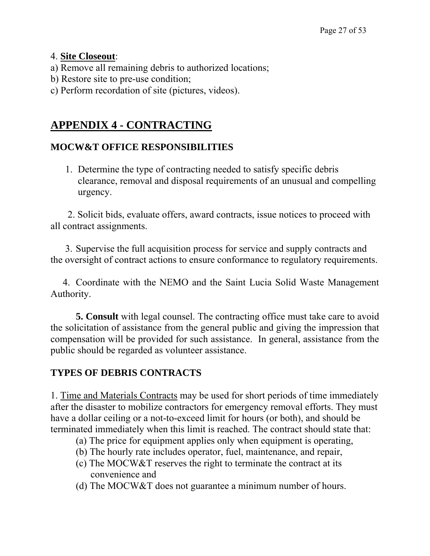#### 4. **Site Closeout**:

- a) Remove all remaining debris to authorized locations;
- b) Restore site to pre-use condition;
- c) Perform recordation of site (pictures, videos).

### **APPENDIX 4 - CONTRACTING**

#### **MOCW&T OFFICE RESPONSIBILITIES**

1. Determine the type of contracting needed to satisfy specific debris clearance, removal and disposal requirements of an unusual and compelling urgency.

 2. Solicit bids, evaluate offers, award contracts, issue notices to proceed with all contract assignments.

 3. Supervise the full acquisition process for service and supply contracts and the oversight of contract actions to ensure conformance to regulatory requirements.

 4. Coordinate with the NEMO and the Saint Lucia Solid Waste Management Authority.

**5. Consult** with legal counsel. The contracting office must take care to avoid the solicitation of assistance from the general public and giving the impression that compensation will be provided for such assistance. In general, assistance from the public should be regarded as volunteer assistance.

#### **TYPES OF DEBRIS CONTRACTS**

1. Time and Materials Contracts may be used for short periods of time immediately after the disaster to mobilize contractors for emergency removal efforts. They must have a dollar ceiling or a not-to-exceed limit for hours (or both), and should be terminated immediately when this limit is reached. The contract should state that:

- (a) The price for equipment applies only when equipment is operating,
- (b) The hourly rate includes operator, fuel, maintenance, and repair,
- (c) The MOCW&T reserves the right to terminate the contract at its convenience and
- (d) The MOCW&T does not guarantee a minimum number of hours.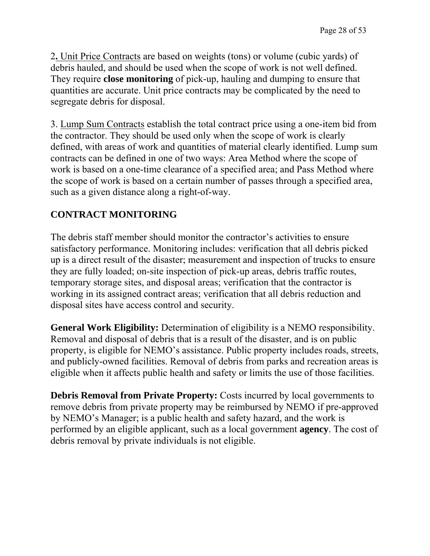2**.** Unit Price Contracts are based on weights (tons) or volume (cubic yards) of debris hauled, and should be used when the scope of work is not well defined. They require **close monitoring** of pick-up, hauling and dumping to ensure that quantities are accurate. Unit price contracts may be complicated by the need to segregate debris for disposal.

3. Lump Sum Contracts establish the total contract price using a one-item bid from the contractor. They should be used only when the scope of work is clearly defined, with areas of work and quantities of material clearly identified. Lump sum contracts can be defined in one of two ways: Area Method where the scope of work is based on a one-time clearance of a specified area; and Pass Method where the scope of work is based on a certain number of passes through a specified area, such as a given distance along a right-of-way.

### **CONTRACT MONITORING**

The debris staff member should monitor the contractor's activities to ensure satisfactory performance. Monitoring includes: verification that all debris picked up is a direct result of the disaster; measurement and inspection of trucks to ensure they are fully loaded; on-site inspection of pick-up areas, debris traffic routes, temporary storage sites, and disposal areas; verification that the contractor is working in its assigned contract areas; verification that all debris reduction and disposal sites have access control and security.

**General Work Eligibility:** Determination of eligibility is a NEMO responsibility. Removal and disposal of debris that is a result of the disaster, and is on public property, is eligible for NEMO's assistance. Public property includes roads, streets, and publicly-owned facilities. Removal of debris from parks and recreation areas is eligible when it affects public health and safety or limits the use of those facilities.

**Debris Removal from Private Property:** Costs incurred by local governments to remove debris from private property may be reimbursed by NEMO if pre-approved by NEMO's Manager; is a public health and safety hazard, and the work is performed by an eligible applicant, such as a local government **agency**. The cost of debris removal by private individuals is not eligible.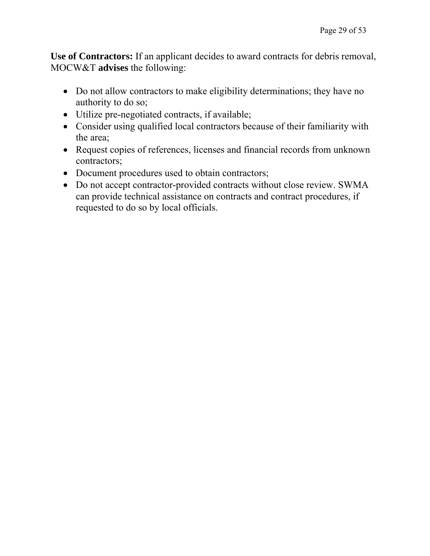**Use of Contractors:** If an applicant decides to award contracts for debris removal, MOCW&T **advises** the following:

- Do not allow contractors to make eligibility determinations; they have no authority to do so;
- Utilize pre-negotiated contracts, if available;
- Consider using qualified local contractors because of their familiarity with the area;
- Request copies of references, licenses and financial records from unknown contractors;
- Document procedures used to obtain contractors;
- Do not accept contractor-provided contracts without close review. SWMA can provide technical assistance on contracts and contract procedures, if requested to do so by local officials.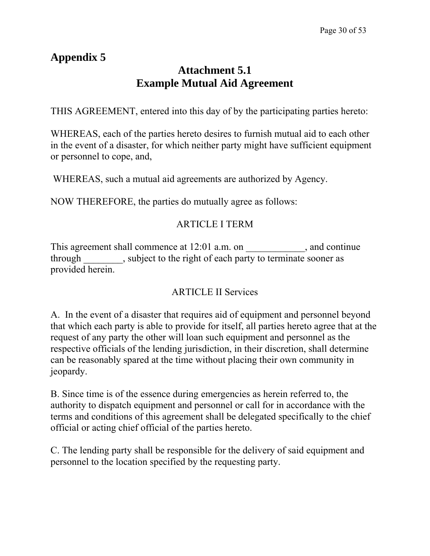# **Appendix 5**

### **Attachment 5.1 Example Mutual Aid Agreement**

THIS AGREEMENT, entered into this day of by the participating parties hereto:

WHEREAS, each of the parties hereto desires to furnish mutual aid to each other in the event of a disaster, for which neither party might have sufficient equipment or personnel to cope, and,

WHEREAS, such a mutual aid agreements are authorized by Agency.

NOW THEREFORE, the parties do mutually agree as follows:

### ARTICLE I TERM

This agreement shall commence at 12:01 a.m. on \_\_\_\_\_\_\_\_\_\_\_\_, and continue through subject to the right of each party to terminate sooner as provided herein.

### ARTICLE II Services

A. In the event of a disaster that requires aid of equipment and personnel beyond that which each party is able to provide for itself, all parties hereto agree that at the request of any party the other will loan such equipment and personnel as the respective officials of the lending jurisdiction, in their discretion, shall determine can be reasonably spared at the time without placing their own community in jeopardy.

B. Since time is of the essence during emergencies as herein referred to, the authority to dispatch equipment and personnel or call for in accordance with the terms and conditions of this agreement shall be delegated specifically to the chief official or acting chief official of the parties hereto.

C. The lending party shall be responsible for the delivery of said equipment and personnel to the location specified by the requesting party.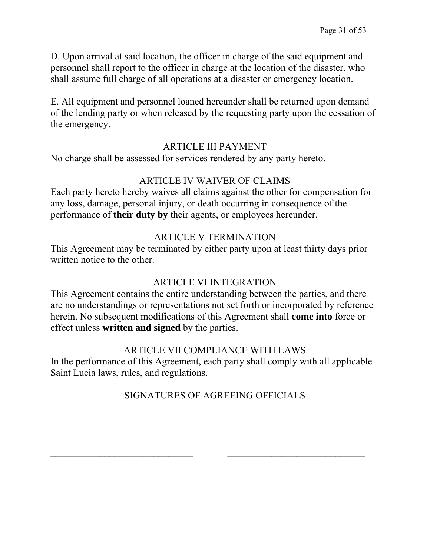D. Upon arrival at said location, the officer in charge of the said equipment and personnel shall report to the officer in charge at the location of the disaster, who shall assume full charge of all operations at a disaster or emergency location.

E. All equipment and personnel loaned hereunder shall be returned upon demand of the lending party or when released by the requesting party upon the cessation of the emergency.

#### ARTICLE III PAYMENT

No charge shall be assessed for services rendered by any party hereto.

#### ARTICLE IV WAIVER OF CLAIMS

Each party hereto hereby waives all claims against the other for compensation for any loss, damage, personal injury, or death occurring in consequence of the performance of **their duty by** their agents, or employees hereunder.

#### ARTICLE V TERMINATION

This Agreement may be terminated by either party upon at least thirty days prior written notice to the other.

#### ARTICLE VI INTEGRATION

This Agreement contains the entire understanding between the parties, and there are no understandings or representations not set forth or incorporated by reference herein. No subsequent modifications of this Agreement shall **come into** force or effect unless **written and signed** by the parties.

#### ARTICLE VII COMPLIANCE WITH LAWS

In the performance of this Agreement, each party shall comply with all applicable Saint Lucia laws, rules, and regulations.

### SIGNATURES OF AGREEING OFFICIALS

 $\_$  , and the contribution of the contribution of  $\overline{a}$  , and  $\overline{a}$  , and  $\overline{a}$  , and  $\overline{a}$  , and  $\overline{a}$ 

 $\_$  , and the contribution of  $\overline{\phantom{a}}$  , and  $\overline{\phantom{a}}$  , and  $\overline{\phantom{a}}$  , and  $\overline{\phantom{a}}$  , and  $\overline{\phantom{a}}$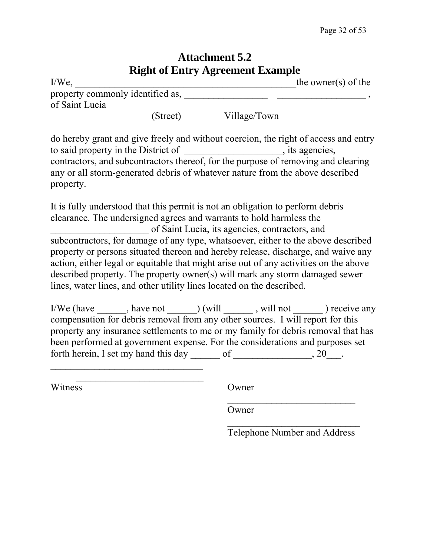### **Attachment 5.2 Right of Entry Agreement Example**

| <b>INIZIIU OF ETHELY AZT CETTETHE EXAMPLE</b>      |          |              |                     |  |
|----------------------------------------------------|----------|--------------|---------------------|--|
| $I/We$ ,                                           |          |              | the owner(s) of the |  |
| property commonly identified as,<br>of Saint Lucia |          |              |                     |  |
|                                                    | (Street) | Village/Town |                     |  |

do hereby grant and give freely and without coercion, the right of access and entry to said property in the District of \_\_\_\_\_\_\_\_\_\_\_\_\_\_\_\_\_, its agencies, contractors, and subcontractors thereof, for the purpose of removing and clearing any or all storm-generated debris of whatever nature from the above described property.

It is fully understood that this permit is not an obligation to perform debris clearance. The undersigned agrees and warrants to hold harmless the \_\_\_\_\_\_\_\_\_\_\_\_\_\_\_\_\_\_\_\_ of Saint Lucia, its agencies, contractors, and subcontractors, for damage of any type, whatsoever, either to the above described property or persons situated thereon and hereby release, discharge, and waive any action, either legal or equitable that might arise out of any activities on the above described property. The property owner(s) will mark any storm damaged sewer lines, water lines, and other utility lines located on the described.

I/We (have \_\_\_\_\_\_, have not \_\_\_\_\_) (will \_\_\_\_\_\_, will not \_\_\_\_\_\_) receive any compensation for debris removal from any other sources. I will report for this property any insurance settlements to me or my family for debris removal that has been performed at government expense. For the considerations and purposes set forth herein, I set my hand this day \_\_\_\_\_\_\_ of \_\_\_\_\_\_\_\_\_\_\_\_\_\_\_, 20\_\_\_.

 $\mathcal{L}_\text{max}$  and  $\mathcal{L}_\text{max}$  and  $\mathcal{L}_\text{max}$  and  $\mathcal{L}_\text{max}$  and  $\mathcal{L}_\text{max}$ 

 $\frac{1}{2}$  , and the contract of the contract of the contract of the contract of the contract of the contract of the contract of the contract of the contract of the contract of the contract of the contract of the contract

Witness Owner

 $\mathcal{L}_\text{max}$  , where  $\mathcal{L}_\text{max}$  , we are the set of the set of the set of the set of the set of the set of the set of the set of the set of the set of the set of the set of the set of the set of the set of the set of  $\mathcal{L}_\text{max}$ 

**Owner** 

Telephone Number and Address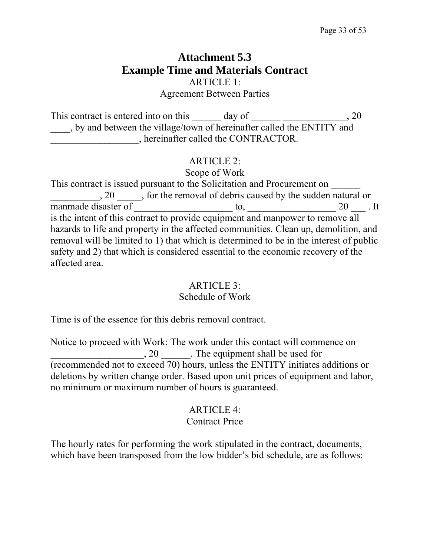### **Attachment 5.3 Example Time and Materials Contract**  ARTICLE 1: Agreement Between Parties

This contract is entered into on this day of \_\_\_\_\_\_\_\_\_\_\_\_\_\_\_\_\_, 20 \_\_\_\_, by and between the village/town of hereinafter called the ENTITY and \_\_\_\_\_\_\_\_\_\_\_\_\_\_\_\_\_\_, hereinafter called the CONTRACTOR.

#### ARTICLE 2:

Scope of Work

This contract is issued pursuant to the Solicitation and Procurement on \_\_\_\_\_\_ 20 \_\_\_\_\_, for the removal of debris caused by the sudden natural or manmade disaster of \_\_\_\_\_\_\_\_\_\_\_\_\_\_\_\_\_\_\_\_ to, \_\_\_\_\_\_\_\_\_\_\_\_\_\_\_\_\_\_ 20 \_\_\_ . It is the intent of this contract to provide equipment and manpower to remove all hazards to life and property in the affected communities. Clean up, demolition, and removal will be limited to 1) that which is determined to be in the interest of public safety and 2) that which is considered essential to the economic recovery of the affected area.

### ARTICLE 3:

#### Schedule of Work

Time is of the essence for this debris removal contract.

Notice to proceed with Work: The work under this contact will commence on \_\_\_\_\_\_\_\_\_\_\_\_\_\_\_\_\_\_\_, 20 \_\_\_\_\_\_. The equipment shall be used for (recommended not to exceed 70) hours, unless the ENTITY initiates additions or deletions by written change order. Based upon unit prices of equipment and labor, no minimum or maximum number of hours is guaranteed.

#### ARTICLE 4: Contract Price

The hourly rates for performing the work stipulated in the contract, documents, which have been transposed from the low bidder's bid schedule, are as follows: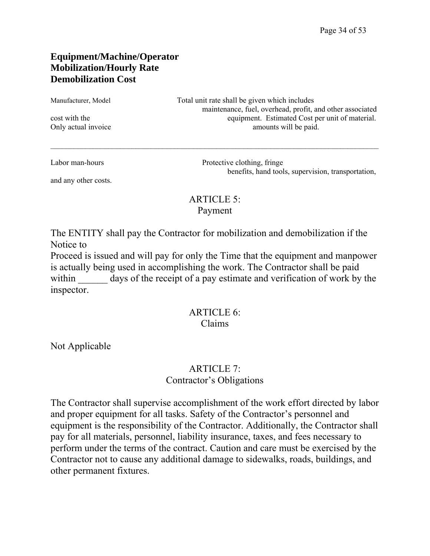#### **Equipment/Machine/Operator Mobilization/Hourly Rate Demobilization Cost**

Manufacturer, Model Total unit rate shall be given which includes maintenance, fuel, overhead, profit, and other associated cost with the equipment. Estimated Cost per unit of material. Only actual invoice amounts will be paid.

and any other costs.

Labor man-hours Protective clothing, fringe benefits, hand tools, supervision, transportation,

#### ARTICLE 5: Payment

 $\_$ 

The ENTITY shall pay the Contractor for mobilization and demobilization if the Notice to

Proceed is issued and will pay for only the Time that the equipment and manpower is actually being used in accomplishing the work. The Contractor shall be paid within days of the receipt of a pay estimate and verification of work by the inspector.

#### ARTICLE 6: Claims

Not Applicable

#### ARTICLE 7: Contractor's Obligations

The Contractor shall supervise accomplishment of the work effort directed by labor and proper equipment for all tasks. Safety of the Contractor's personnel and equipment is the responsibility of the Contractor. Additionally, the Contractor shall pay for all materials, personnel, liability insurance, taxes, and fees necessary to perform under the terms of the contract. Caution and care must be exercised by the Contractor not to cause any additional damage to sidewalks, roads, buildings, and other permanent fixtures.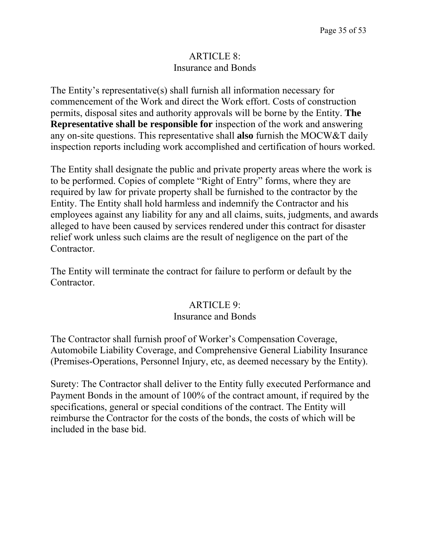#### ARTICLE 8: Insurance and Bonds

The Entity's representative(s) shall furnish all information necessary for commencement of the Work and direct the Work effort. Costs of construction permits, disposal sites and authority approvals will be borne by the Entity. **The Representative shall be responsible for** inspection of the work and answering any on-site questions. This representative shall **also** furnish the MOCW&T daily inspection reports including work accomplished and certification of hours worked.

The Entity shall designate the public and private property areas where the work is to be performed. Copies of complete "Right of Entry" forms, where they are required by law for private property shall be furnished to the contractor by the Entity. The Entity shall hold harmless and indemnify the Contractor and his employees against any liability for any and all claims, suits, judgments, and awards alleged to have been caused by services rendered under this contract for disaster relief work unless such claims are the result of negligence on the part of the Contractor.

The Entity will terminate the contract for failure to perform or default by the Contractor.

#### ARTICLE 9:

#### Insurance and Bonds

The Contractor shall furnish proof of Worker's Compensation Coverage, Automobile Liability Coverage, and Comprehensive General Liability Insurance (Premises-Operations, Personnel Injury, etc, as deemed necessary by the Entity).

Surety: The Contractor shall deliver to the Entity fully executed Performance and Payment Bonds in the amount of 100% of the contract amount, if required by the specifications, general or special conditions of the contract. The Entity will reimburse the Contractor for the costs of the bonds, the costs of which will be included in the base bid.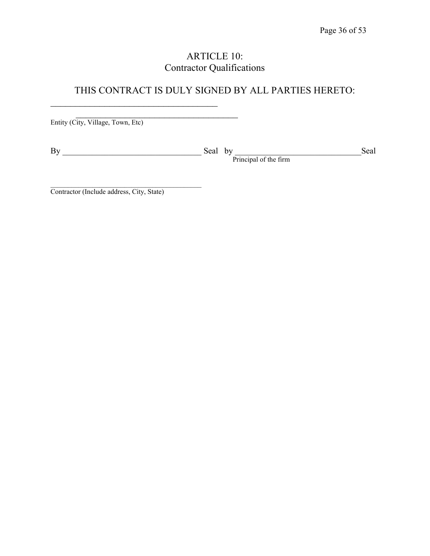### ARTICLE 10: Contractor Qualifications

### THIS CONTRACT IS DULY SIGNED BY ALL PARTIES HERETO:

Entity (City, Village, Town, Etc)

\_\_\_\_\_\_\_\_\_\_\_\_\_\_\_\_\_\_\_\_\_\_\_\_\_\_\_\_\_\_\_\_\_\_

By \_\_\_\_\_\_\_\_\_\_\_\_\_\_\_\_\_\_\_\_\_\_\_\_\_\_\_\_\_\_\_\_\_ Seal by \_\_\_\_\_\_\_\_\_\_\_\_\_\_\_\_\_\_\_\_\_\_\_\_\_\_\_\_\_\_Seal Principal of the firm

Contractor (Include address, City, State)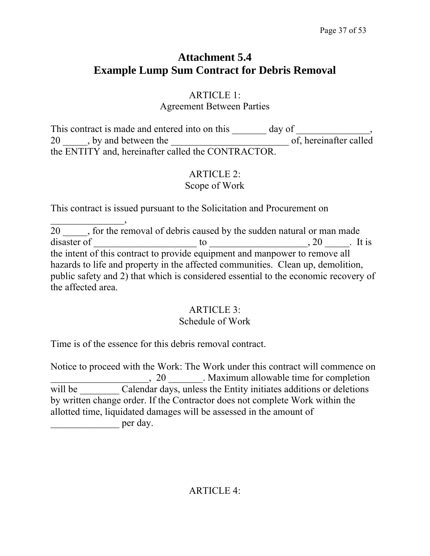### **Attachment 5.4 Example Lump Sum Contract for Debris Removal**

### ARTICLE 1:

Agreement Between Parties

This contract is made and entered into on this day of 20 \_\_\_\_\_, by and between the \_\_\_\_\_\_\_\_\_\_\_\_\_\_\_\_\_\_\_\_\_\_\_\_ of, hereinafter called the ENTITY and, hereinafter called the CONTRACTOR.

#### ARTICLE 2: Scope of Work

This contract is issued pursuant to the Solicitation and Procurement on

20 \_\_\_\_\_, for the removal of debris caused by the sudden natural or man made disaster of  $\qquad \qquad$  to  $\qquad \qquad$  to  $\qquad \qquad$ , 20  $\qquad$ . It is the intent of this contract to provide equipment and manpower to remove all hazards to life and property in the affected communities. Clean up, demolition, public safety and 2) that which is considered essential to the economic recovery of the affected area.

### ARTICLE 3:

### Schedule of Work

Time is of the essence for this debris removal contract.

 $\overline{\phantom{a}}$ 

Notice to proceed with the Work: The Work under this contract will commence on \_\_\_\_\_\_\_\_\_\_\_\_\_\_\_\_\_\_\_\_, 20 \_\_\_\_\_\_\_. Maximum allowable time for completion will be Calendar days, unless the Entity initiates additions or deletions by written change order. If the Contractor does not complete Work within the allotted time, liquidated damages will be assessed in the amount of  $per$  day.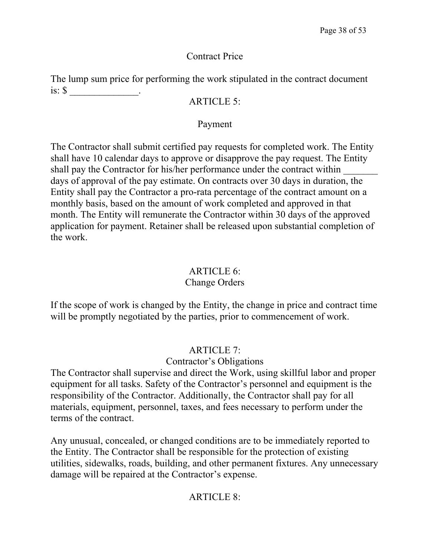#### Contract Price

The lump sum price for performing the work stipulated in the contract document is:  $\sqrt[3]{ }$ .

#### ARTICLE 5:

#### Payment

The Contractor shall submit certified pay requests for completed work. The Entity shall have 10 calendar days to approve or disapprove the pay request. The Entity shall pay the Contractor for his/her performance under the contract within days of approval of the pay estimate. On contracts over 30 days in duration, the Entity shall pay the Contractor a pro-rata percentage of the contract amount on a monthly basis, based on the amount of work completed and approved in that month. The Entity will remunerate the Contractor within 30 days of the approved application for payment. Retainer shall be released upon substantial completion of the work.

### ARTICLE 6:

### Change Orders

If the scope of work is changed by the Entity, the change in price and contract time will be promptly negotiated by the parties, prior to commencement of work.

### ARTICLE 7:

### Contractor's Obligations

The Contractor shall supervise and direct the Work, using skillful labor and proper equipment for all tasks. Safety of the Contractor's personnel and equipment is the responsibility of the Contractor. Additionally, the Contractor shall pay for all materials, equipment, personnel, taxes, and fees necessary to perform under the terms of the contract.

Any unusual, concealed, or changed conditions are to be immediately reported to the Entity. The Contractor shall be responsible for the protection of existing utilities, sidewalks, roads, building, and other permanent fixtures. Any unnecessary damage will be repaired at the Contractor's expense.

### $ARTICLE 8$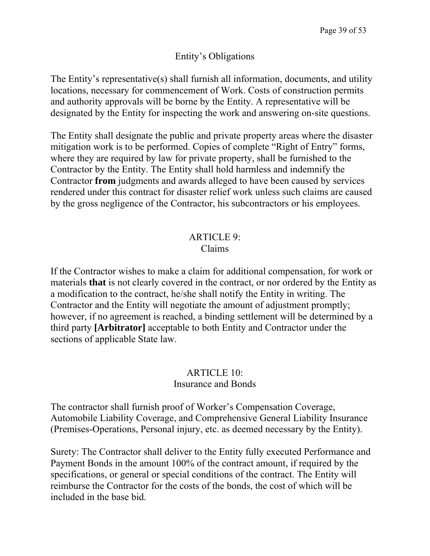#### Entity's Obligations

The Entity's representative(s) shall furnish all information, documents, and utility locations, necessary for commencement of Work. Costs of construction permits and authority approvals will be borne by the Entity. A representative will be designated by the Entity for inspecting the work and answering on-site questions.

The Entity shall designate the public and private property areas where the disaster mitigation work is to be performed. Copies of complete "Right of Entry" forms, where they are required by law for private property, shall be furnished to the Contractor by the Entity. The Entity shall hold harmless and indemnify the Contractor **from** judgments and awards alleged to have been caused by services rendered under this contract for disaster relief work unless such claims are caused by the gross negligence of the Contractor, his subcontractors or his employees.

#### ARTICLE 9: Claims

If the Contractor wishes to make a claim for additional compensation, for work or materials **that** is not clearly covered in the contract, or nor ordered by the Entity as a modification to the contract, he/she shall notify the Entity in writing. The Contractor and the Entity will negotiate the amount of adjustment promptly; however, if no agreement is reached, a binding settlement will be determined by a third party **[Arbitrator]** acceptable to both Entity and Contractor under the sections of applicable State law.

#### ARTICLE 10: Insurance and Bonds

The contractor shall furnish proof of Worker's Compensation Coverage, Automobile Liability Coverage, and Comprehensive General Liability Insurance (Premises-Operations, Personal injury, etc. as deemed necessary by the Entity).

Surety: The Contractor shall deliver to the Entity fully executed Performance and Payment Bonds in the amount 100% of the contract amount, if required by the specifications, or general or special conditions of the contract. The Entity will reimburse the Contractor for the costs of the bonds, the cost of which will be included in the base bid.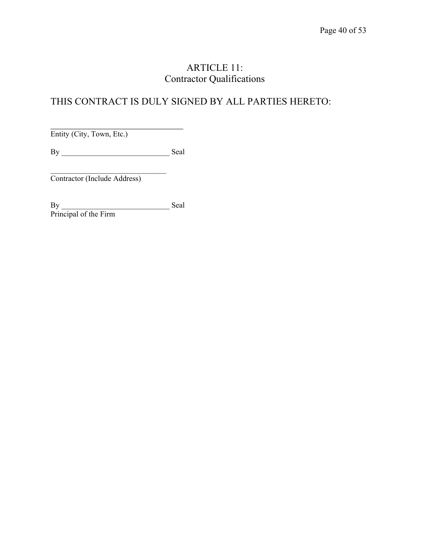### ARTICLE 11: Contractor Qualifications

### THIS CONTRACT IS DULY SIGNED BY ALL PARTIES HERETO:

 $\overline{\phantom{a}}$ 

Entity (City, Town, Etc.)

By \_\_\_\_\_\_\_\_\_\_\_\_\_\_\_\_\_\_\_\_\_\_\_\_\_\_\_\_ Seal

 $\mathcal{L}_\text{max}$  , where  $\mathcal{L}_\text{max}$  , we have the set of  $\mathcal{L}_\text{max}$ Contractor (Include Address)

By Seal Principal of the Firm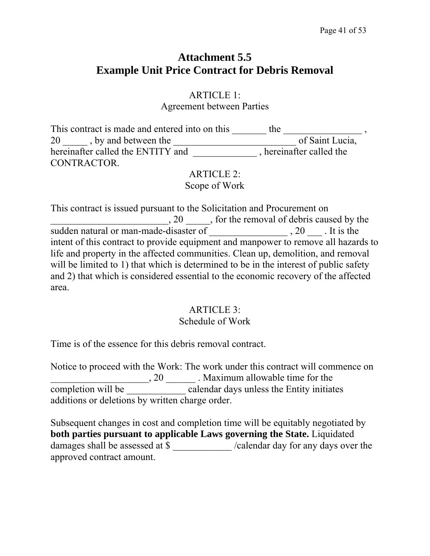### **Attachment 5.5 Example Unit Price Contract for Debris Removal**

# ARTICLE 1:

Agreement between Parties

This contract is made and entered into on this \_\_\_\_\_\_\_\_ the \_\_\_\_\_\_\_\_\_\_\_\_\_\_\_\_\_\_, 20 by and between the set of Saint Lucia, hereinafter called the ENTITY and \_\_\_\_\_\_\_\_\_\_\_\_\_\_, hereinafter called the CONTRACTOR.

ARTICLE 2: Scope of Work

This contract is issued pursuant to the Solicitation and Procurement on  $\frac{1}{20}$ , 20  $\frac{1}{20}$ , for the removal of debris caused by the sudden natural or man-made-disaster of \_\_\_\_\_\_\_\_\_\_\_\_\_\_\_\_ , 20 \_\_\_ . It is the intent of this contract to provide equipment and manpower to remove all hazards to life and property in the affected communities. Clean up, demolition, and removal will be limited to 1) that which is determined to be in the interest of public safety and 2) that which is considered essential to the economic recovery of the affected area.

#### ARTICLE 3:

#### Schedule of Work

Time is of the essence for this debris removal contract.

Notice to proceed with the Work: The work under this contract will commence on Let  $\frac{1}{20}$  . Maximum allowable time for the completion will be \_\_\_\_\_\_\_\_\_\_\_\_ calendar days unless the Entity initiates additions or deletions by written charge order.

Subsequent changes in cost and completion time will be equitably negotiated by **both parties pursuant to applicable Laws governing the State.** Liquidated damages shall be assessed at \$ \_\_\_\_\_\_\_\_\_\_\_\_ /calendar day for any days over the approved contract amount.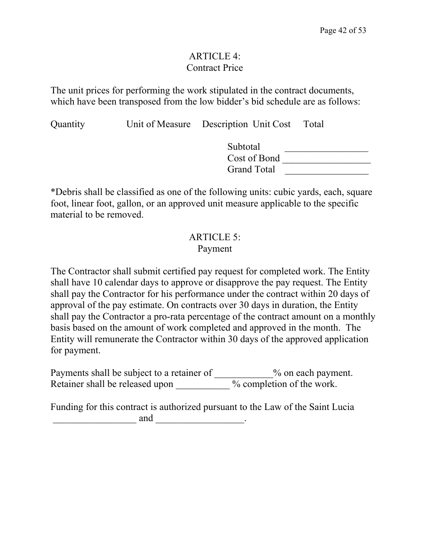#### ARTICLE 4: Contract Price

The unit prices for performing the work stipulated in the contract documents, which have been transposed from the low bidder's bid schedule are as follows:

Quantity Unit of Measure Description Unit Cost Total

| Subtotal           |  |
|--------------------|--|
| Cost of Bond       |  |
| <b>Grand Total</b> |  |

\*Debris shall be classified as one of the following units: cubic yards, each, square foot, linear foot, gallon, or an approved unit measure applicable to the specific material to be removed.

#### ARTICLE 5: Payment

The Contractor shall submit certified pay request for completed work. The Entity shall have 10 calendar days to approve or disapprove the pay request. The Entity shall pay the Contractor for his performance under the contract within 20 days of approval of the pay estimate. On contracts over 30 days in duration, the Entity shall pay the Contractor a pro-rata percentage of the contract amount on a monthly basis based on the amount of work completed and approved in the month. The Entity will remunerate the Contractor within 30 days of the approved application for payment.

Payments shall be subject to a retainer of \_\_\_\_\_\_\_\_\_\_\_% on each payment. Retainer shall be released upon \_\_\_\_\_\_\_\_\_\_\_ % completion of the work.

Funding for this contract is authorized pursuant to the Law of the Saint Lucia  $and$   $\qquad \qquad \ldots$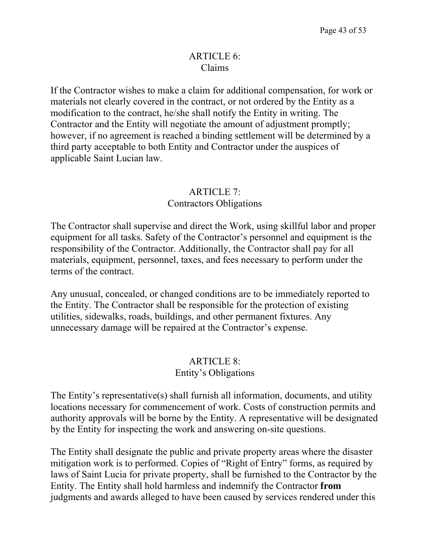#### ARTICLE 6: Claims

If the Contractor wishes to make a claim for additional compensation, for work or materials not clearly covered in the contract, or not ordered by the Entity as a modification to the contract, he/she shall notify the Entity in writing. The Contractor and the Entity will negotiate the amount of adjustment promptly; however, if no agreement is reached a binding settlement will be determined by a third party acceptable to both Entity and Contractor under the auspices of applicable Saint Lucian law.

#### ARTICLE 7: Contractors Obligations

The Contractor shall supervise and direct the Work, using skillful labor and proper equipment for all tasks. Safety of the Contractor's personnel and equipment is the responsibility of the Contractor. Additionally, the Contractor shall pay for all materials, equipment, personnel, taxes, and fees necessary to perform under the terms of the contract.

Any unusual, concealed, or changed conditions are to be immediately reported to the Entity. The Contractor shall be responsible for the protection of existing utilities, sidewalks, roads, buildings, and other permanent fixtures. Any unnecessary damage will be repaired at the Contractor's expense.

#### ARTICLE 8: Entity's Obligations

The Entity's representative(s) shall furnish all information, documents, and utility locations necessary for commencement of work. Costs of construction permits and authority approvals will be borne by the Entity. A representative will be designated by the Entity for inspecting the work and answering on-site questions.

The Entity shall designate the public and private property areas where the disaster mitigation work is to performed. Copies of "Right of Entry" forms, as required by laws of Saint Lucia for private property, shall be furnished to the Contractor by the Entity. The Entity shall hold harmless and indemnify the Contractor **from**  judgments and awards alleged to have been caused by services rendered under this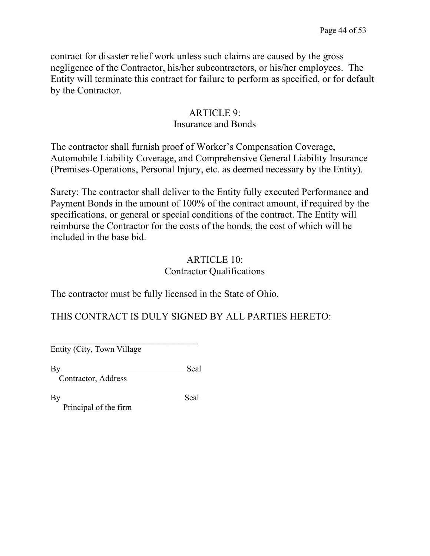contract for disaster relief work unless such claims are caused by the gross negligence of the Contractor, his/her subcontractors, or his/her employees. The Entity will terminate this contract for failure to perform as specified, or for default by the Contractor.

#### ARTICLE 9: Insurance and Bonds

The contractor shall furnish proof of Worker's Compensation Coverage, Automobile Liability Coverage, and Comprehensive General Liability Insurance (Premises-Operations, Personal Injury, etc. as deemed necessary by the Entity).

Surety: The contractor shall deliver to the Entity fully executed Performance and Payment Bonds in the amount of 100% of the contract amount, if required by the specifications, or general or special conditions of the contract. The Entity will reimburse the Contractor for the costs of the bonds, the cost of which will be included in the base bid.

#### ARTICLE 10: Contractor Qualifications

The contractor must be fully licensed in the State of Ohio.

THIS CONTRACT IS DULY SIGNED BY ALL PARTIES HERETO:

Entity (City, Town Village

By Seal

Contractor, Address

By Seal

Principal of the firm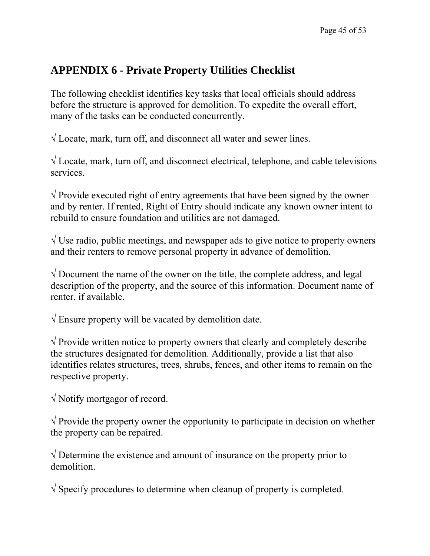### **APPENDIX 6 - Private Property Utilities Checklist**

The following checklist identifies key tasks that local officials should address before the structure is approved for demolition. To expedite the overall effort, many of the tasks can be conducted concurrently.

√ Locate, mark, turn off, and disconnect all water and sewer lines.

 $\sqrt{}$  Locate, mark, turn off, and disconnect electrical, telephone, and cable televisions services.

 $\sqrt{\frac{1}{\pi}}$  Provide executed right of entry agreements that have been signed by the owner and by renter. If rented, Right of Entry should indicate any known owner intent to rebuild to ensure foundation and utilities are not damaged.

 $\sqrt{U}$  Use radio, public meetings, and newspaper ads to give notice to property owners and their renters to remove personal property in advance of demolition.

 $\sqrt{}$  Document the name of the owner on the title, the complete address, and legal description of the property, and the source of this information. Document name of renter, if available.

√ Ensure property will be vacated by demolition date.

√ Provide written notice to property owners that clearly and completely describe the structures designated for demolition. Additionally, provide a list that also identifies relates structures, trees, shrubs, fences, and other items to remain on the respective property.

√ Notify mortgagor of record.

 $\sqrt{\frac{1}{\pi}}$  Provide the property owner the opportunity to participate in decision on whether the property can be repaired.

√ Determine the existence and amount of insurance on the property prior to demolition.

√ Specify procedures to determine when cleanup of property is completed.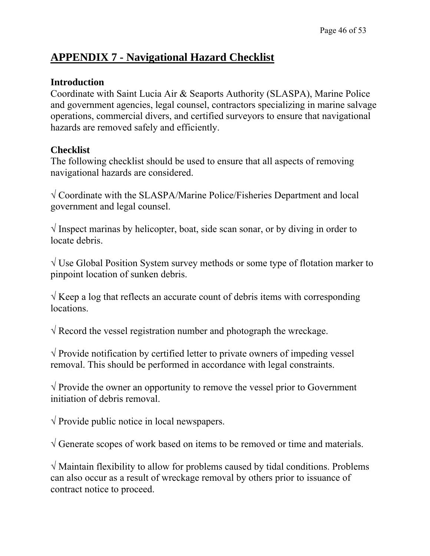### **APPENDIX 7 - Navigational Hazard Checklist**

#### **Introduction**

Coordinate with Saint Lucia Air & Seaports Authority (SLASPA), Marine Police and government agencies, legal counsel, contractors specializing in marine salvage operations, commercial divers, and certified surveyors to ensure that navigational hazards are removed safely and efficiently.

#### **Checklist**

The following checklist should be used to ensure that all aspects of removing navigational hazards are considered.

√ Coordinate with the SLASPA/Marine Police/Fisheries Department and local government and legal counsel.

 $\sqrt{}$  Inspect marinas by helicopter, boat, side scan sonar, or by diving in order to locate debris.

√ Use Global Position System survey methods or some type of flotation marker to pinpoint location of sunken debris.

 $\sqrt{K}$  Keep a log that reflects an accurate count of debris items with corresponding locations.

 $\sqrt{\text{Record}}$  the vessel registration number and photograph the wreckage.

 $\sqrt{\frac{1}{\pi}}$  Provide notification by certified letter to private owners of impeding vessel removal. This should be performed in accordance with legal constraints.

 $\sqrt{a}$  Provide the owner an opportunity to remove the vessel prior to Government initiation of debris removal.

√ Provide public notice in local newspapers.

√ Generate scopes of work based on items to be removed or time and materials.

√ Maintain flexibility to allow for problems caused by tidal conditions. Problems can also occur as a result of wreckage removal by others prior to issuance of contract notice to proceed.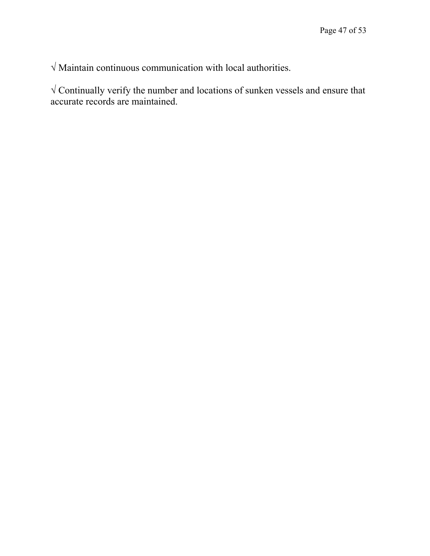√ Maintain continuous communication with local authorities.

√ Continually verify the number and locations of sunken vessels and ensure that accurate records are maintained.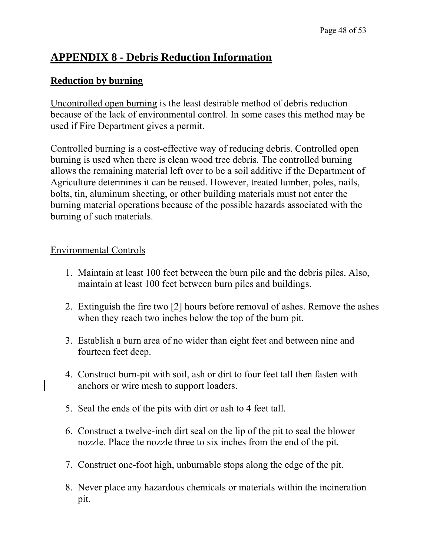### **APPENDIX 8 - Debris Reduction Information**

#### **Reduction by burning**

Uncontrolled open burning is the least desirable method of debris reduction because of the lack of environmental control. In some cases this method may be used if Fire Department gives a permit.

Controlled burning is a cost-effective way of reducing debris. Controlled open burning is used when there is clean wood tree debris. The controlled burning allows the remaining material left over to be a soil additive if the Department of Agriculture determines it can be reused. However, treated lumber, poles, nails, bolts, tin, aluminum sheeting, or other building materials must not enter the burning material operations because of the possible hazards associated with the burning of such materials.

#### Environmental Controls

- 1. Maintain at least 100 feet between the burn pile and the debris piles. Also, maintain at least 100 feet between burn piles and buildings.
- 2. Extinguish the fire two [2] hours before removal of ashes. Remove the ashes when they reach two inches below the top of the burn pit.
- 3. Establish a burn area of no wider than eight feet and between nine and fourteen feet deep.
- 4. Construct burn-pit with soil, ash or dirt to four feet tall then fasten with anchors or wire mesh to support loaders.
- 5. Seal the ends of the pits with dirt or ash to 4 feet tall.
- 6. Construct a twelve-inch dirt seal on the lip of the pit to seal the blower nozzle. Place the nozzle three to six inches from the end of the pit.
- 7. Construct one-foot high, unburnable stops along the edge of the pit.
- 8. Never place any hazardous chemicals or materials within the incineration pit.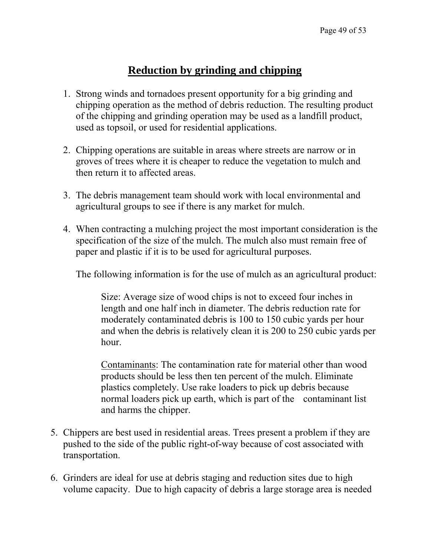### **Reduction by grinding and chipping**

- 1. Strong winds and tornadoes present opportunity for a big grinding and chipping operation as the method of debris reduction. The resulting product of the chipping and grinding operation may be used as a landfill product, used as topsoil, or used for residential applications.
- 2. Chipping operations are suitable in areas where streets are narrow or in groves of trees where it is cheaper to reduce the vegetation to mulch and then return it to affected areas.
- 3. The debris management team should work with local environmental and agricultural groups to see if there is any market for mulch.
- 4. When contracting a mulching project the most important consideration is the specification of the size of the mulch. The mulch also must remain free of paper and plastic if it is to be used for agricultural purposes.

The following information is for the use of mulch as an agricultural product:

Size: Average size of wood chips is not to exceed four inches in length and one half inch in diameter. The debris reduction rate for moderately contaminated debris is 100 to 150 cubic yards per hour and when the debris is relatively clean it is 200 to 250 cubic yards per hour.

Contaminants: The contamination rate for material other than wood products should be less then ten percent of the mulch. Eliminate plastics completely. Use rake loaders to pick up debris because normal loaders pick up earth, which is part of the contaminant list and harms the chipper.

- 5. Chippers are best used in residential areas. Trees present a problem if they are pushed to the side of the public right-of-way because of cost associated with transportation.
- 6. Grinders are ideal for use at debris staging and reduction sites due to high volume capacity. Due to high capacity of debris a large storage area is needed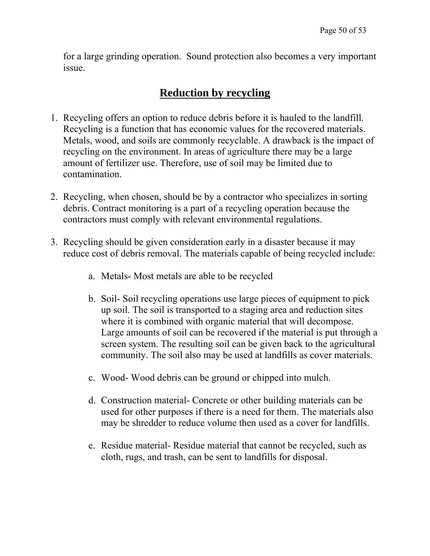for a large grinding operation. Sound protection also becomes a very important issue.

### **Reduction by recycling**

- 1. Recycling offers an option to reduce debris before it is hauled to the landfill. Recycling is a function that has economic values for the recovered materials. Metals, wood, and soils are commonly recyclable. A drawback is the impact of recycling on the environment. In areas of agriculture there may be a large amount of fertilizer use. Therefore, use of soil may be limited due to contamination.
- 2. Recycling, when chosen, should be by a contractor who specializes in sorting debris. Contract monitoring is a part of a recycling operation because the contractors must comply with relevant environmental regulations.
- 3. Recycling should be given consideration early in a disaster because it may reduce cost of debris removal. The materials capable of being recycled include:
	- a. Metals- Most metals are able to be recycled
	- b. Soil- Soil recycling operations use large pieces of equipment to pick up soil. The soil is transported to a staging area and reduction sites where it is combined with organic material that will decompose. Large amounts of soil can be recovered if the material is put through a screen system. The resulting soil can be given back to the agricultural community. The soil also may be used at landfills as cover materials.
	- c. Wood- Wood debris can be ground or chipped into mulch.
	- d. Construction material- Concrete or other building materials can be used for other purposes if there is a need for them. The materials also may be shredder to reduce volume then used as a cover for landfills.
	- e. Residue material- Residue material that cannot be recycled, such as cloth, rugs, and trash, can be sent to landfills for disposal.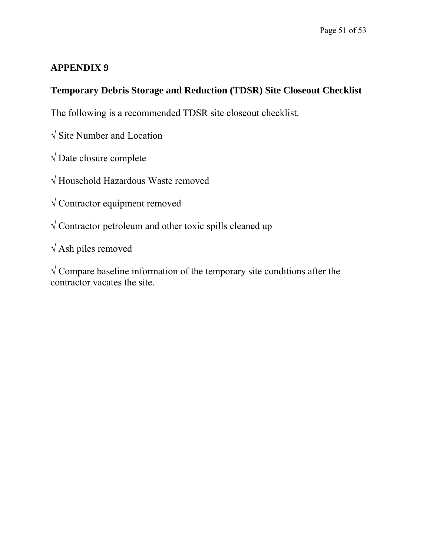### **APPENDIX 9**

### **Temporary Debris Storage and Reduction (TDSR) Site Closeout Checklist**

The following is a recommended TDSR site closeout checklist.

- √ Site Number and Location
- $\sqrt{}$  Date closure complete
- √ Household Hazardous Waste removed
- √ Contractor equipment removed
- √ Contractor petroleum and other toxic spills cleaned up
- $\sqrt{\text{Ash}}$  piles removed

 $\sqrt{\frac{1}{2}}$  Compare baseline information of the temporary site conditions after the contractor vacates the site.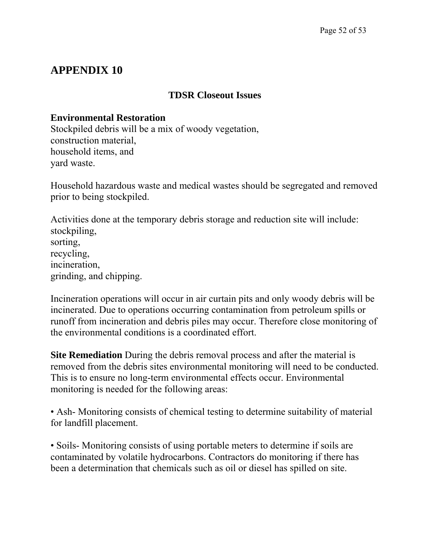### **APPENDIX 10**

#### **TDSR Closeout Issues**

#### **Environmental Restoration**

Stockpiled debris will be a mix of woody vegetation, construction material, household items, and yard waste.

Household hazardous waste and medical wastes should be segregated and removed prior to being stockpiled.

Activities done at the temporary debris storage and reduction site will include: stockpiling, sorting, recycling, incineration, grinding, and chipping.

Incineration operations will occur in air curtain pits and only woody debris will be incinerated. Due to operations occurring contamination from petroleum spills or runoff from incineration and debris piles may occur. Therefore close monitoring of the environmental conditions is a coordinated effort.

**Site Remediation** During the debris removal process and after the material is removed from the debris sites environmental monitoring will need to be conducted. This is to ensure no long-term environmental effects occur. Environmental monitoring is needed for the following areas:

• Ash- Monitoring consists of chemical testing to determine suitability of material for landfill placement.

• Soils- Monitoring consists of using portable meters to determine if soils are contaminated by volatile hydrocarbons. Contractors do monitoring if there has been a determination that chemicals such as oil or diesel has spilled on site.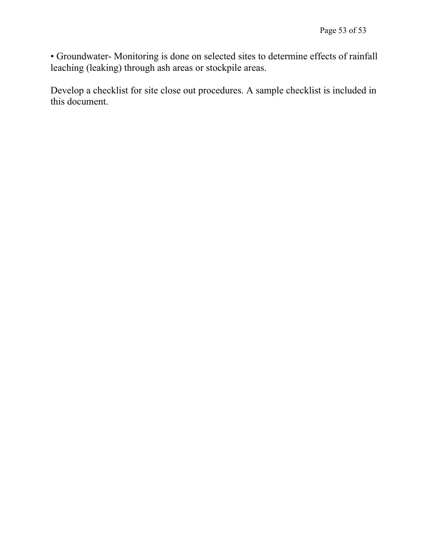• Groundwater- Monitoring is done on selected sites to determine effects of rainfall leaching (leaking) through ash areas or stockpile areas.

Develop a checklist for site close out procedures. A sample checklist is included in this document.